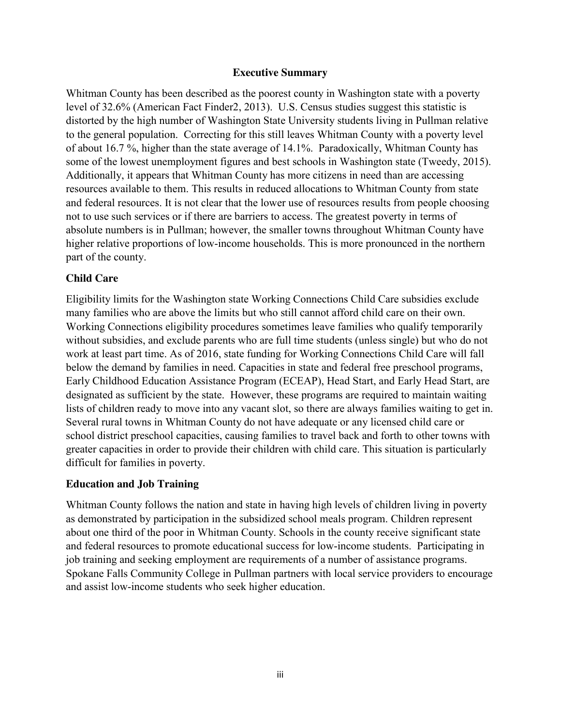### **Executive Summary**

Whitman County has been described as the poorest county in Washington state with a poverty level of 32.6% (American Fact Finder2, 2013). U.S. Census studies suggest this statistic is distorted by the high number of Washington State University students living in Pullman relative to the general population. Correcting for this still leaves Whitman County with a poverty level of about 16.7 %, higher than the state average of 14.1%. Paradoxically, Whitman County has some of the lowest unemployment figures and best schools in Washington state (Tweedy, 2015). Additionally, it appears that Whitman County has more citizens in need than are accessing resources available to them. This results in reduced allocations to Whitman County from state and federal resources. It is not clear that the lower use of resources results from people choosing not to use such services or if there are barriers to access. The greatest poverty in terms of absolute numbers is in Pullman; however, the smaller towns throughout Whitman County have higher relative proportions of low-income households. This is more pronounced in the northern part of the county.

# **Child Care**

Eligibility limits for the Washington state Working Connections Child Care subsidies exclude many families who are above the limits but who still cannot afford child care on their own. Working Connections eligibility procedures sometimes leave families who qualify temporarily without subsidies, and exclude parents who are full time students (unless single) but who do not work at least part time. As of 2016, state funding for Working Connections Child Care will fall below the demand by families in need. Capacities in state and federal free preschool programs, Early Childhood Education Assistance Program (ECEAP), Head Start, and Early Head Start, are designated as sufficient by the state. However, these programs are required to maintain waiting lists of children ready to move into any vacant slot, so there are always families waiting to get in. Several rural towns in Whitman County do not have adequate or any licensed child care or school district preschool capacities, causing families to travel back and forth to other towns with greater capacities in order to provide their children with child care. This situation is particularly difficult for families in poverty.

# **Education and Job Training**

Whitman County follows the nation and state in having high levels of children living in poverty as demonstrated by participation in the subsidized school meals program. Children represent about one third of the poor in Whitman County. Schools in the county receive significant state and federal resources to promote educational success for low-income students. Participating in job training and seeking employment are requirements of a number of assistance programs. Spokane Falls Community College in Pullman partners with local service providers to encourage and assist low-income students who seek higher education.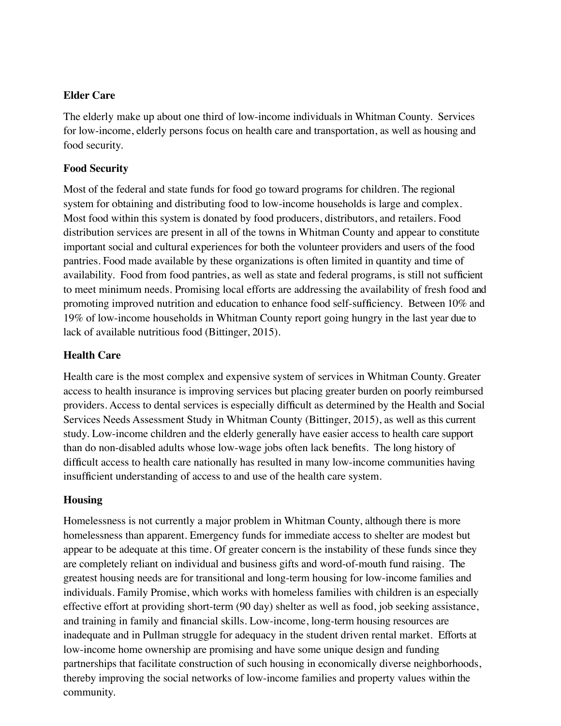### **Elder Care**

The elderly make up about one third of low-income individuals in Whitman County. Services for low-income, elderly persons focus on health care and transportation, as well as housing and food security.

### **Food Security**

Most of the federal and state funds for food go toward programs for children. The regional system for obtaining and distributing food to low-income households is large and complex. Most food within this system is donated by food producers, distributors, and retailers. Food distribution services are present in all of the towns in Whitman County and appear to constitute important social and cultural experiences for both the volunteer providers and users of the food pantries. Food made available by these organizations is often limited in quantity and time of availability. Food from food pantries, as well as state and federal programs, is still not sufficient to meet minimum needs. Promising local efforts are addressing the availability of fresh food and promoting improved nutrition and education to enhance food self-sufficiency. Between 10% and 19% of low-income households in Whitman County report going hungry in the last year due to lack of available nutritious food (Bittinger, 2015).

# **Health Care**

Health care is the most complex and expensive system of services in Whitman County. Greater access to health insurance is improving services but placing greater burden on poorly reimbursed providers. Access to dental services is especially difficult as determined by the Health and Social Services Needs Assessment Study in Whitman County (Bittinger, 2015), as well as this current study. Low-income children and the elderly generally have easier access to health care support than do non-disabled adults whose low-wage jobs often lack benefits. The long history of difficult access to health care nationally has resulted in many low-income communities having insufficient understanding of access to and use of the health care system.

# **Housing**

Homelessness is not currently a major problem in Whitman County, although there is more homelessness than apparent. Emergency funds for immediate access to shelter are modest but appear to be adequate at this time. Of greater concern is the instability of these funds since they are completely reliant on individual and business gifts and word-of-mouth fund raising. The greatest housing needs are for transitional and long-term housing for low-income families and individuals. Family Promise, which works with homeless families with children is an especially effective effort at providing short-term (90 day) shelter as well as food, job seeking assistance, and training in family and financial skills. Low-income, long-term housing resources are inadequate and in Pullman struggle for adequacy in the student driven rental market. Efforts at low-income home ownership are promising and have some unique design and funding partnerships that facilitate construction of such housing in economically diverse neighborhoods, thereby improving the social networks of low-income families and property values within the community.